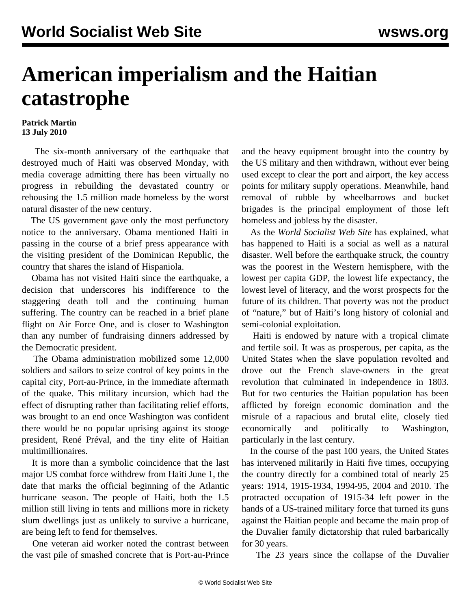## **American imperialism and the Haitian catastrophe**

## **Patrick Martin 13 July 2010**

 The six-month anniversary of the earthquake that destroyed much of Haiti was observed Monday, with media coverage admitting there has been virtually no progress in rebuilding the devastated country or rehousing the 1.5 million made homeless by the worst natural disaster of the new century.

 The US government gave only the most perfunctory notice to the anniversary. Obama mentioned Haiti in passing in the course of a brief press appearance with the visiting president of the Dominican Republic, the country that shares the island of Hispaniola.

 Obama has not visited Haiti since the earthquake, a decision that underscores his indifference to the staggering death toll and the continuing human suffering. The country can be reached in a brief plane flight on Air Force One, and is closer to Washington than any number of fundraising dinners addressed by the Democratic president.

 The Obama administration mobilized some 12,000 soldiers and sailors to seize control of key points in the capital city, Port-au-Prince, in the immediate aftermath of the quake. This military incursion, which had the effect of disrupting rather than facilitating relief efforts, was brought to an end once Washington was confident there would be no popular uprising against its stooge president, René Préval, and the tiny elite of Haitian multimillionaires.

 It is more than a symbolic coincidence that the last major US combat force withdrew from Haiti June 1, the date that marks the official beginning of the Atlantic hurricane season. The people of Haiti, both the 1.5 million still living in tents and millions more in rickety slum dwellings just as unlikely to survive a hurricane, are being left to fend for themselves.

 One veteran aid worker noted the contrast between the vast pile of smashed concrete that is Port-au-Prince and the heavy equipment brought into the country by the US military and then withdrawn, without ever being used except to clear the port and airport, the key access points for military supply operations. Meanwhile, hand removal of rubble by wheelbarrows and bucket brigades is the principal employment of those left homeless and jobless by the disaster.

 As the *World Socialist Web Site* has explained, what has happened to Haiti is a social as well as a natural disaster. Well before the earthquake struck, the country was the poorest in the Western hemisphere, with the lowest per capita GDP, the lowest life expectancy, the lowest level of literacy, and the worst prospects for the future of its children. That poverty was not the product of "nature," but of Haiti's long history of colonial and semi-colonial exploitation.

 Haiti is endowed by nature with a tropical climate and fertile soil. It was as prosperous, per capita, as the United States when the slave population revolted and drove out the French slave-owners in the great revolution that culminated in independence in 1803. But for two centuries the Haitian population has been afflicted by foreign economic domination and the misrule of a rapacious and brutal elite, closely tied economically and politically to Washington, particularly in the last century.

 In the course of the past 100 years, the United States has intervened militarily in Haiti five times, occupying the country directly for a combined total of nearly 25 years: 1914, 1915-1934, 1994-95, 2004 and 2010. The protracted occupation of 1915-34 left power in the hands of a US-trained military force that turned its guns against the Haitian people and became the main prop of the Duvalier family dictatorship that ruled barbarically for 30 years.

The 23 years since the collapse of the Duvalier